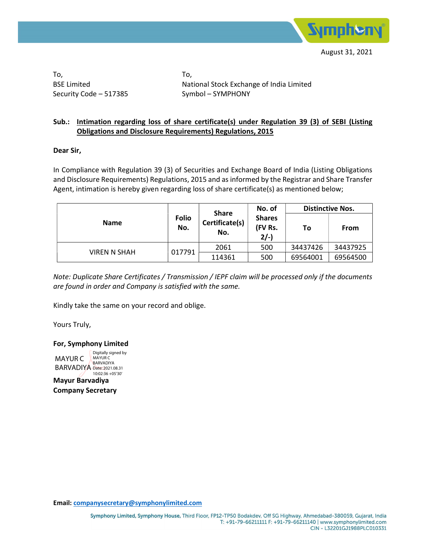

To, BSE Limited Security Code – 517385 To, National Stock Exchange of India Limited Symbol – SYMPHONY

## Sub.: Intimation regarding loss of share certificate(s) under Regulation 39 (3) of SEBI (Listing Obligations and Disclosure Requirements) Regulations, 2015

## Dear Sir,

In Compliance with Regulation 39 (3) of Securities and Exchange Board of India (Listing Obligations and Disclosure Requirements) Regulations, 2015 and as informed by the Registrar and Share Transfer Agent, intimation is hereby given regarding loss of share certificate(s) as mentioned below;

| <b>Name</b>         | <b>Folio</b><br>No. | <b>Share</b><br>Certificate(s)<br>No. | No. of<br><b>Shares</b><br>(FV Rs.<br>$2/-$ | <b>Distinctive Nos.</b> |             |  |
|---------------------|---------------------|---------------------------------------|---------------------------------------------|-------------------------|-------------|--|
|                     |                     |                                       |                                             | To                      | <b>From</b> |  |
| <b>VIREN N SHAH</b> | 017791              | 2061                                  | 500                                         | 34437426                | 34437925    |  |
|                     |                     | 114361                                | 500                                         | 69564001                | 69564500    |  |

Note: Duplicate Share Certificates / Transmission / IEPF claim will be processed only if the documents are found in order and Company is satisfied with the same.

Kindly take the same on your record and oblige.

Yours Truly,

For, Symphony Limited

MAYUR C **BARVADIYA** Date: 2021.08.31 Digitally signed by MAYUR C BARVADIYA 10:02:36 +05'30'

Mayur Barvadiya Company Secretary

Email: companysecretary@symphonylimited.com